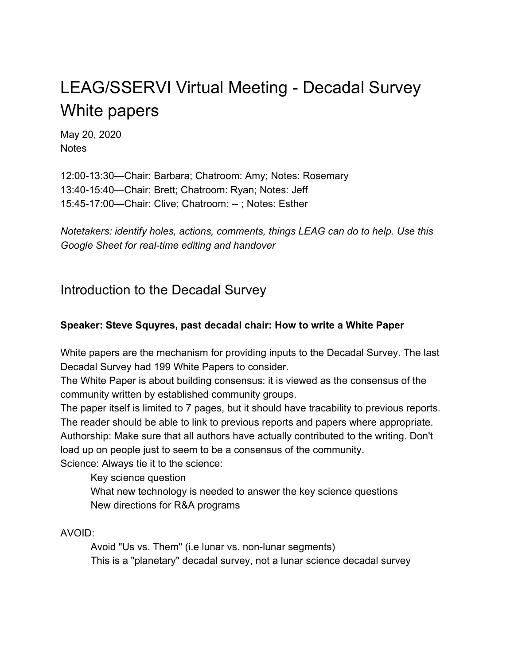# LEAG/SSERVI Virtual Meeting - Decadal Survey White papers

May 20, 2020 **Notes** 

12:00-13:30—Chair: Barbara; Chatroom: Amy; Notes: Rosemary 13:40-15:40—Chair: Brett; Chatroom: Ryan; Notes: Jeff 15:45-17:00—Chair: Clive; Chatroom: -- ; Notes: Esther

*Notetakers: identify holes, actions, comments, things LEAG can do to help. Use this Google Sheet for real-time editing and handover*

# Introduction to the Decadal Survey

### **Speaker: Steve Squyres, past decadal chair: How to write a White Paper**

White papers are the mechanism for providing inputs to the Decadal Survey. The last Decadal Survey had 199 White Papers to consider.

The White Paper is about building consensus: it is viewed as the consensus of the community written by established community groups.

The paper itself is limited to 7 pages, but it should have tracability to previous reports. The reader should be able to link to previous reports and papers where appropriate. Authorship: Make sure that all authors have actually contributed to the writing. Don't load up on people just to seem to be a consensus of the community. Science: Always tie it to the science:

Key science question What new technology is needed to answer the key science questions New directions for R&A programs

AVOID:

Avoid "Us vs. Them" (i.e lunar vs. non-lunar segments) This is a "planetary" decadal survey, not a lunar science decadal survey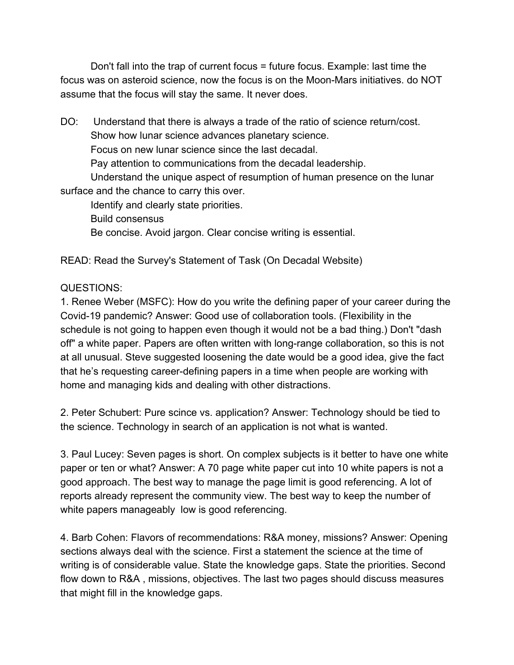Don't fall into the trap of current focus = future focus. Example: last time the focus was on asteroid science, now the focus is on the Moon-Mars initiatives. do NOT assume that the focus will stay the same. It never does.

DO: Understand that there is always a trade of the ratio of science return/cost. Show how lunar science advances planetary science. Focus on new lunar science since the last decadal. Pay attention to communications from the decadal leadership. Understand the unique aspect of resumption of human presence on the lunar surface and the chance to carry this over. Identify and clearly state priorities.

Build consensus Be concise. Avoid jargon. Clear concise writing is essential.

READ: Read the Survey's Statement of Task (On Decadal Website)

### QUESTIONS:

1. Renee Weber (MSFC): How do you write the defining paper of your career during the Covid-19 pandemic? Answer: Good use of collaboration tools. (Flexibility in the schedule is not going to happen even though it would not be a bad thing.) Don't "dash off" a white paper. Papers are often written with long-range collaboration, so this is not at all unusual. Steve suggested loosening the date would be a good idea, give the fact that he's requesting career-defining papers in a time when people are working with home and managing kids and dealing with other distractions.

2. Peter Schubert: Pure scince vs. application? Answer: Technology should be tied to the science. Technology in search of an application is not what is wanted.

3. Paul Lucey: Seven pages is short. On complex subjects is it better to have one white paper or ten or what? Answer: A 70 page white paper cut into 10 white papers is not a good approach. The best way to manage the page limit is good referencing. A lot of reports already represent the community view. The best way to keep the number of white papers manageably low is good referencing.

4. Barb Cohen: Flavors of recommendations: R&A money, missions? Answer: Opening sections always deal with the science. First a statement the science at the time of writing is of considerable value. State the knowledge gaps. State the priorities. Second flow down to R&A , missions, objectives. The last two pages should discuss measures that might fill in the knowledge gaps.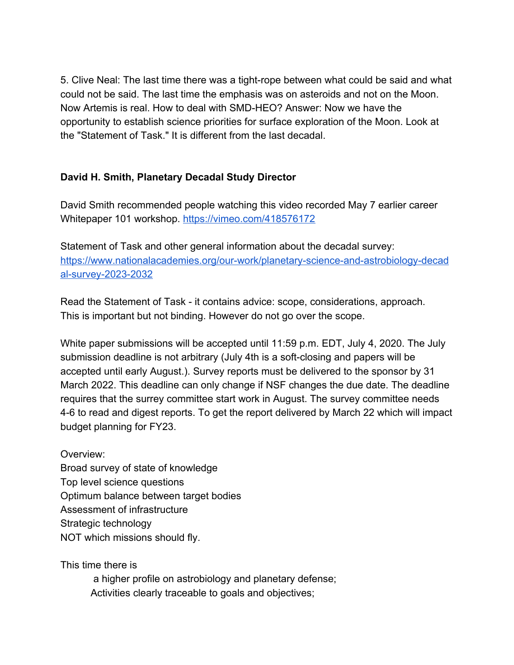5. Clive Neal: The last time there was a tight-rope between what could be said and what could not be said. The last time the emphasis was on asteroids and not on the Moon. Now Artemis is real. How to deal with SMD-HEO? Answer: Now we have the opportunity to establish science priorities for surface exploration of the Moon. Look at the "Statement of Task." It is different from the last decadal.

### **David H. Smith, Planetary Decadal Study Director**

David Smith recommended people watching this video recorded May 7 earlier career Whitepaper 101 workshop. <https://vimeo.com/418576172>

Statement of Task and other general information about the decadal survey: [https://www.nationalacademies.org/our-work/planetary-science-and-astrobiology-decad](https://www.nationalacademies.org/our-work/planetary-science-and-astrobiology-decadal-survey-2023-2032) [al-survey-2023-2032](https://www.nationalacademies.org/our-work/planetary-science-and-astrobiology-decadal-survey-2023-2032)

Read the Statement of Task - it contains advice: scope, considerations, approach. This is important but not binding. However do not go over the scope.

White paper submissions will be accepted until 11:59 p.m. EDT, July 4, 2020. The July submission deadline is not arbitrary (July 4th is a soft-closing and papers will be accepted until early August.). Survey reports must be delivered to the sponsor by 31 March 2022. This deadline can only change if NSF changes the due date. The deadline requires that the surrey committee start work in August. The survey committee needs 4-6 to read and digest reports. To get the report delivered by March 22 which will impact budget planning for FY23.

Overview: Broad survey of state of knowledge Top level science questions Optimum balance between target bodies Assessment of infrastructure Strategic technology NOT which missions should fly.

This time there is

 a higher profile on astrobiology and planetary defense; Activities clearly traceable to goals and objectives;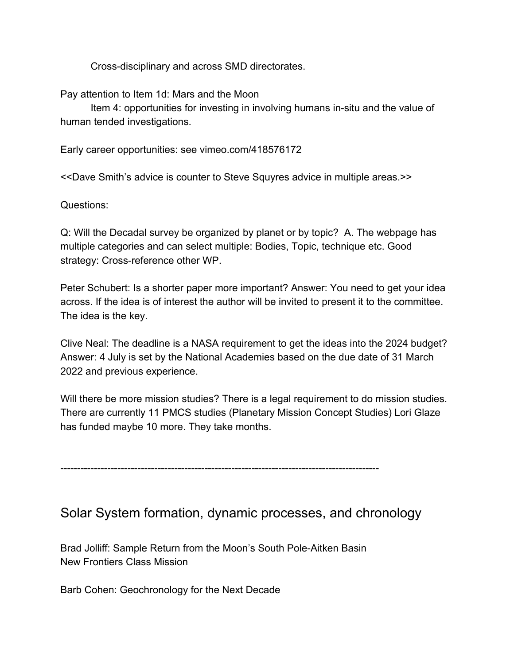Cross-disciplinary and across SMD directorates.

Pay attention to Item 1d: Mars and the Moon

Item 4: opportunities for investing in involving humans in-situ and the value of human tended investigations.

Early career opportunities: see vimeo.com/418576172

<<Dave Smith's advice is counter to Steve Squyres advice in multiple areas.>>

Questions:

Q: Will the Decadal survey be organized by planet or by topic? A. The webpage has multiple categories and can select multiple: Bodies, Topic, technique etc. Good strategy: Cross-reference other WP.

Peter Schubert: Is a shorter paper more important? Answer: You need to get your idea across. If the idea is of interest the author will be invited to present it to the committee. The idea is the key.

Clive Neal: The deadline is a NASA requirement to get the ideas into the 2024 budget? Answer: 4 July is set by the National Academies based on the due date of 31 March 2022 and previous experience.

Will there be more mission studies? There is a legal requirement to do mission studies. There are currently 11 PMCS studies (Planetary Mission Concept Studies) Lori Glaze has funded maybe 10 more. They take months.

-----------------------------------------------------------------------------------------------

# Solar System formation, dynamic processes, and chronology

Brad Jolliff: Sample Return from the Moon's South Pole-Aitken Basin New Frontiers Class Mission

Barb Cohen: Geochronology for the Next Decade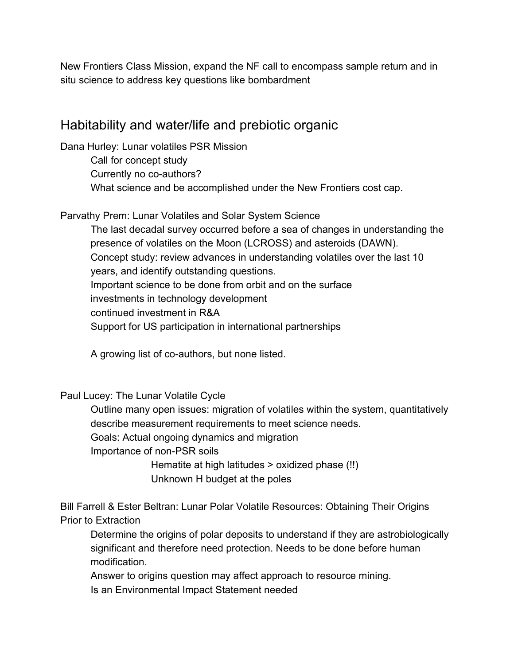New Frontiers Class Mission, expand the NF call to encompass sample return and in situ science to address key questions like bombardment

# Habitability and water/life and prebiotic organic

Dana Hurley: Lunar volatiles PSR Mission

Call for concept study Currently no co-authors? What science and be accomplished under the New Frontiers cost cap.

Parvathy Prem: Lunar Volatiles and Solar System Science

The last decadal survey occurred before a sea of changes in understanding the presence of volatiles on the Moon (LCROSS) and asteroids (DAWN). Concept study: review advances in understanding volatiles over the last 10 years, and identify outstanding questions. Important science to be done from orbit and on the surface investments in technology development continued investment in R&A Support for US participation in international partnerships

A growing list of co-authors, but none listed.

Paul Lucey: The Lunar Volatile Cycle

Outline many open issues: migration of volatiles within the system, quantitatively describe measurement requirements to meet science needs.

Goals: Actual ongoing dynamics and migration

Importance of non-PSR soils

Hematite at high latitudes > oxidized phase (!!) Unknown H budget at the poles

Bill Farrell & Ester Beltran: Lunar Polar Volatile Resources: Obtaining Their Origins Prior to Extraction

Determine the origins of polar deposits to understand if they are astrobiologically significant and therefore need protection. Needs to be done before human modification.

Answer to origins question may affect approach to resource mining.

Is an Environmental Impact Statement needed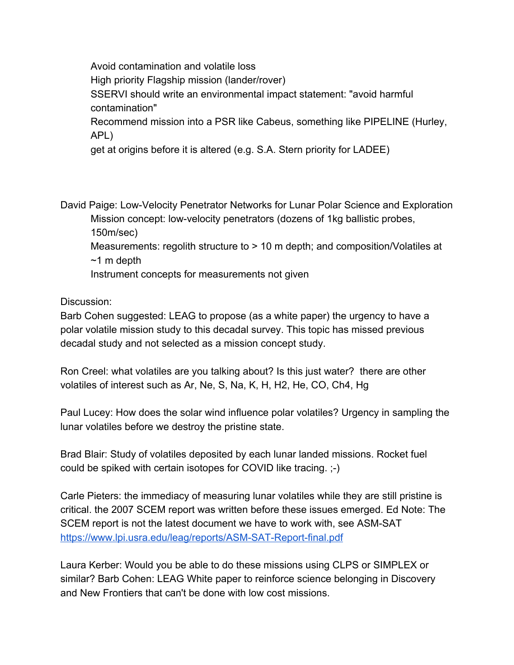Avoid contamination and volatile loss High priority Flagship mission (lander/rover) SSERVI should write an environmental impact statement: "avoid harmful contamination" Recommend mission into a PSR like Cabeus, something like PIPELINE (Hurley, APL)

get at origins before it is altered (e.g. S.A. Stern priority for LADEE)

David Paige: Low-Velocity Penetrator Networks for Lunar Polar Science and Exploration Mission concept: low-velocity penetrators (dozens of 1kg ballistic probes,

150m/sec)

Measurements: regolith structure to > 10 m depth; and composition/Volatiles at  $~1$  m depth

Instrument concepts for measurements not given

Discussion:

Barb Cohen suggested: LEAG to propose (as a white paper) the urgency to have a polar volatile mission study to this decadal survey. This topic has missed previous decadal study and not selected as a mission concept study.

Ron Creel: what volatiles are you talking about? Is this just water? there are other volatiles of interest such as Ar, Ne, S, Na, K, H, H2, He, CO, Ch4, Hg

Paul Lucey: How does the solar wind influence polar volatiles? Urgency in sampling the lunar volatiles before we destroy the pristine state.

Brad Blair: Study of volatiles deposited by each lunar landed missions. Rocket fuel could be spiked with certain isotopes for COVID like tracing. ;-)

Carle Pieters: the immediacy of measuring lunar volatiles while they are still pristine is critical. the 2007 SCEM report was written before these issues emerged. Ed Note: The SCEM report is not the latest document we have to work with, see ASM-SAT <https://www.lpi.usra.edu/leag/reports/ASM-SAT-Report-final.pdf>

Laura Kerber: Would you be able to do these missions using CLPS or SIMPLEX or similar? Barb Cohen: LEAG White paper to reinforce science belonging in Discovery and New Frontiers that can't be done with low cost missions.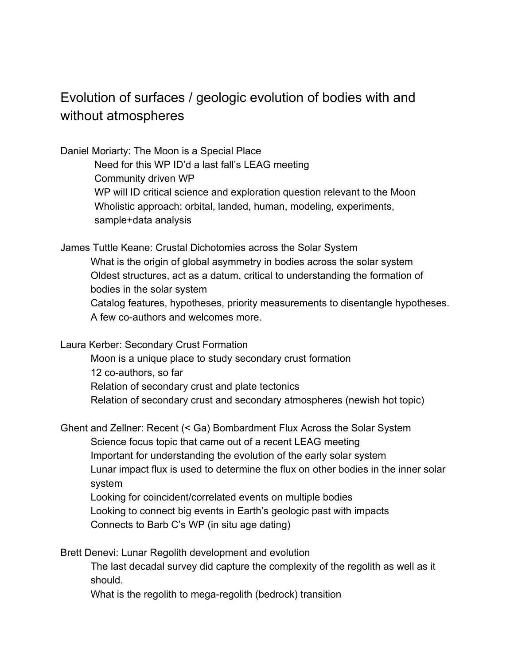# Evolution of surfaces / geologic evolution of bodies with and without atmospheres

Daniel Moriarty: The Moon is a Special Place

Need for this WP ID'd a last fall's LEAG meeting Community driven WP WP will ID critical science and exploration question relevant to the Moon Wholistic approach: orbital, landed, human, modeling, experiments, sample+data analysis

James Tuttle Keane: Crustal Dichotomies across the Solar System What is the origin of global asymmetry in bodies across the solar system Oldest structures, act as a datum, critical to understanding the formation of bodies in the solar system Catalog features, hypotheses, priority measurements to disentangle hypotheses. A few co-authors and welcomes more.

Laura Kerber: Secondary Crust Formation

Moon is a unique place to study secondary crust formation 12 co-authors, so far Relation of secondary crust and plate tectonics Relation of secondary crust and secondary atmospheres (newish hot topic)

Ghent and Zellner: Recent (< Ga) Bombardment Flux Across the Solar System

Science focus topic that came out of a recent LEAG meeting

Important for understanding the evolution of the early solar system Lunar impact flux is used to determine the flux on other bodies in the inner solar

system

Looking for coincident/correlated events on multiple bodies

Looking to connect big events in Earth's geologic past with impacts

Connects to Barb C's WP (in situ age dating)

Brett Denevi: Lunar Regolith development and evolution

The last decadal survey did capture the complexity of the regolith as well as it should.

What is the regolith to mega-regolith (bedrock) transition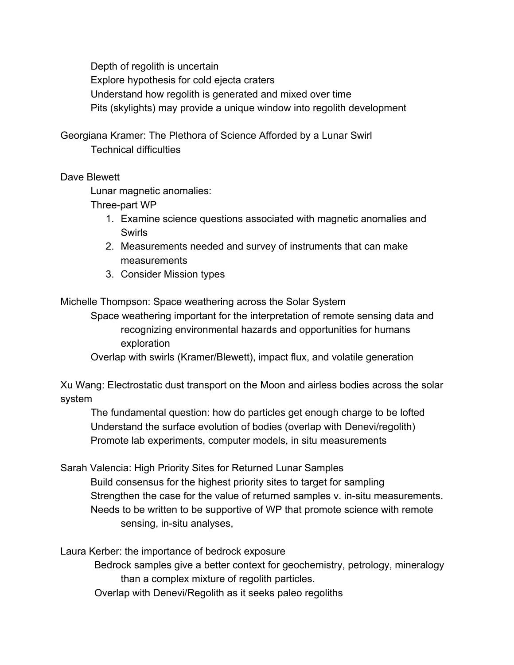Depth of regolith is uncertain Explore hypothesis for cold ejecta craters Understand how regolith is generated and mixed over time Pits (skylights) may provide a unique window into regolith development

Georgiana Kramer: The Plethora of Science Afforded by a Lunar Swirl Technical difficulties

### Dave Blewett

Lunar magnetic anomalies:

Three-part WP

- 1. Examine science questions associated with magnetic anomalies and Swirls
- 2. Measurements needed and survey of instruments that can make measurements
- 3. Consider Mission types

Michelle Thompson: Space weathering across the Solar System

Space weathering important for the interpretation of remote sensing data and recognizing environmental hazards and opportunities for humans exploration

Overlap with swirls (Kramer/Blewett), impact flux, and volatile generation

Xu Wang: Electrostatic dust transport on the Moon and airless bodies across the solar system

The fundamental question: how do particles get enough charge to be lofted Understand the surface evolution of bodies (overlap with Denevi/regolith) Promote lab experiments, computer models, in situ measurements

Sarah Valencia: High Priority Sites for Returned Lunar Samples Build consensus for the highest priority sites to target for sampling Strengthen the case for the value of returned samples v. in-situ measurements. Needs to be written to be supportive of WP that promote science with remote sensing, in-situ analyses,

Laura Kerber: the importance of bedrock exposure

Bedrock samples give a better context for geochemistry, petrology, mineralogy than a complex mixture of regolith particles.

Overlap with Denevi/Regolith as it seeks paleo regoliths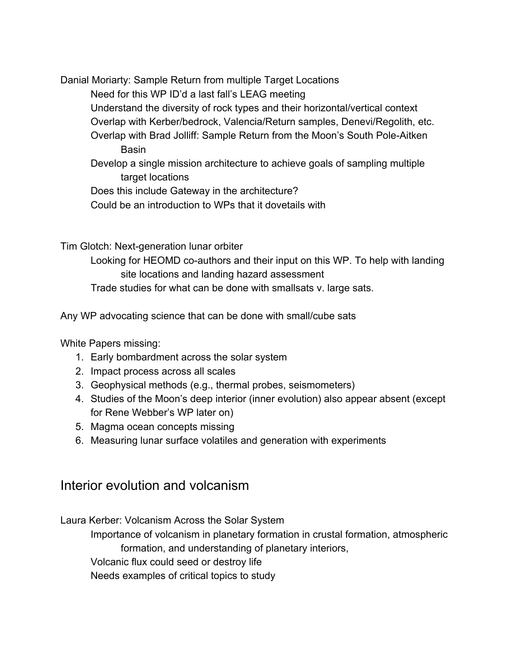Danial Moriarty: Sample Return from multiple Target Locations

Need for this WP ID'd a last fall's LEAG meeting

Understand the diversity of rock types and their horizontal/vertical context

Overlap with Kerber/bedrock, Valencia/Return samples, Denevi/Regolith, etc.

Overlap with Brad Jolliff: Sample Return from the Moon's South Pole-Aitken **Basin** 

Develop a single mission architecture to achieve goals of sampling multiple target locations

Does this include Gateway in the architecture?

Could be an introduction to WPs that it dovetails with

Tim Glotch: Next-generation lunar orbiter

Looking for HEOMD co-authors and their input on this WP. To help with landing site locations and landing hazard assessment

Trade studies for what can be done with smallsats v. large sats.

Any WP advocating science that can be done with small/cube sats

White Papers missing:

- 1. Early bombardment across the solar system
- 2. Impact process across all scales
- 3. Geophysical methods (e.g., thermal probes, seismometers)
- 4. Studies of the Moon's deep interior (inner evolution) also appear absent (except for Rene Webber's WP later on)
- 5. Magma ocean concepts missing
- 6. Measuring lunar surface volatiles and generation with experiments

# Interior evolution and volcanism

Laura Kerber: Volcanism Across the Solar System

Importance of volcanism in planetary formation in crustal formation, atmospheric formation, and understanding of planetary interiors,

Volcanic flux could seed or destroy life

Needs examples of critical topics to study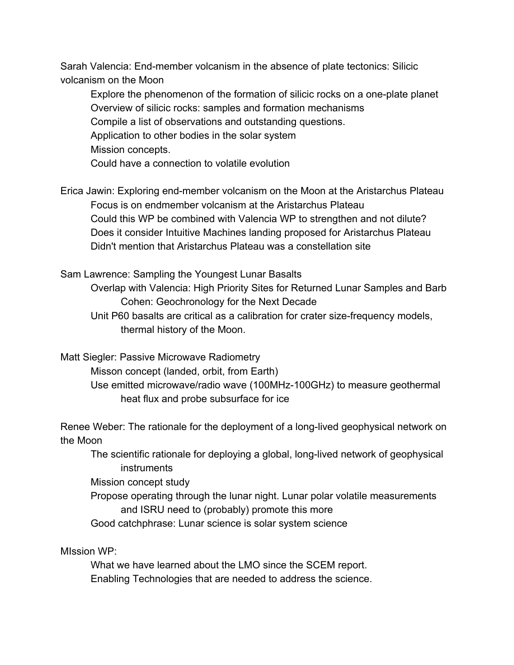Sarah Valencia: End-member volcanism in the absence of plate tectonics: Silicic volcanism on the Moon

Explore the phenomenon of the formation of silicic rocks on a one-plate planet Overview of silicic rocks: samples and formation mechanisms Compile a list of observations and outstanding questions. Application to other bodies in the solar system Mission concepts. Could have a connection to volatile evolution

Erica Jawin: Exploring end-member volcanism on the Moon at the Aristarchus Plateau Focus is on endmember volcanism at the Aristarchus Plateau Could this WP be combined with Valencia WP to strengthen and not dilute? Does it consider Intuitive Machines landing proposed for Aristarchus Plateau Didn't mention that Aristarchus Plateau was a constellation site

Sam Lawrence: Sampling the Youngest Lunar Basalts

Overlap with Valencia: High Priority Sites for Returned Lunar Samples and Barb Cohen: Geochronology for the Next Decade

Unit P60 basalts are critical as a calibration for crater size-frequency models, thermal history of the Moon.

Matt Siegler: Passive Microwave Radiometry

Misson concept (landed, orbit, from Earth)

Use emitted microwave/radio wave (100MHz-100GHz) to measure geothermal heat flux and probe subsurface for ice

Renee Weber: The rationale for the deployment of a long-lived geophysical network on the Moon

The scientific rationale for deploying a global, long-lived network of geophysical instruments

Mission concept study

Propose operating through the lunar night. Lunar polar volatile measurements and ISRU need to (probably) promote this more

Good catchphrase: Lunar science is solar system science

MIssion WP:

What we have learned about the LMO since the SCEM report. Enabling Technologies that are needed to address the science.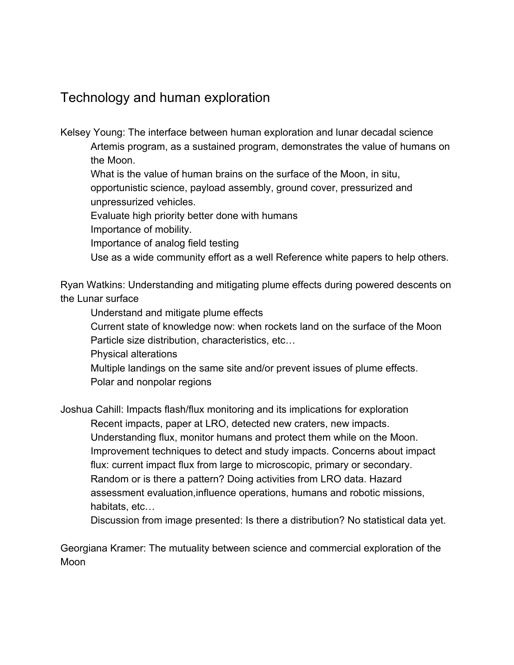# Technology and human exploration

Kelsey Young: The interface between human exploration and lunar decadal science Artemis program, as a sustained program, demonstrates the value of humans on the Moon.

What is the value of human brains on the surface of the Moon, in situ, opportunistic science, payload assembly, ground cover, pressurized and unpressurized vehicles.

Evaluate high priority better done with humans

Importance of mobility.

Importance of analog field testing

Use as a wide community effort as a well Reference white papers to help others.

Ryan Watkins: Understanding and mitigating plume effects during powered descents on the Lunar surface

Understand and mitigate plume effects

Current state of knowledge now: when rockets land on the surface of the Moon Particle size distribution, characteristics, etc…

Physical alterations

Multiple landings on the same site and/or prevent issues of plume effects. Polar and nonpolar regions

Joshua Cahill: Impacts flash/flux monitoring and its implications for exploration Recent impacts, paper at LRO, detected new craters, new impacts. Understanding flux, monitor humans and protect them while on the Moon. Improvement techniques to detect and study impacts. Concerns about impact flux: current impact flux from large to microscopic, primary or secondary. Random or is there a pattern? Doing activities from LRO data. Hazard

assessment evaluation,influence operations, humans and robotic missions, habitats, etc…

Discussion from image presented: Is there a distribution? No statistical data yet.

Georgiana Kramer: The mutuality between science and commercial exploration of the Moon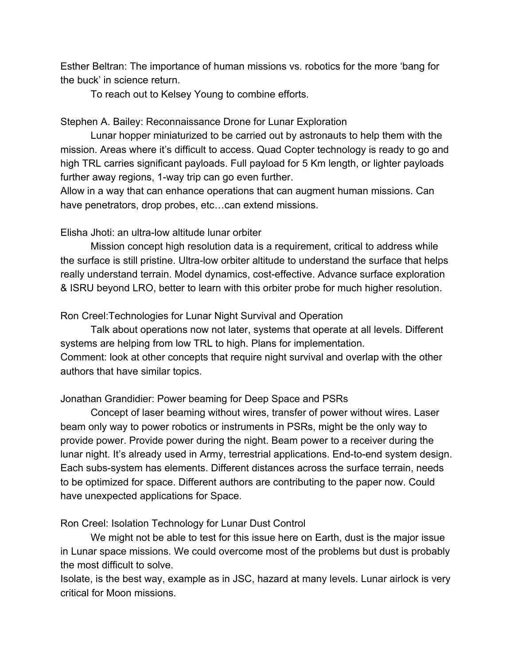Esther Beltran: The importance of human missions vs. robotics for the more 'bang for the buck' in science return.

To reach out to Kelsey Young to combine efforts.

#### Stephen A. Bailey: Reconnaissance Drone for Lunar Exploration

Lunar hopper miniaturized to be carried out by astronauts to help them with the mission. Areas where it's difficult to access. Quad Copter technology is ready to go and high TRL carries significant payloads. Full payload for 5 Km length, or lighter payloads further away regions, 1-way trip can go even further.

Allow in a way that can enhance operations that can augment human missions. Can have penetrators, drop probes, etc...can extend missions.

#### Elisha Jhoti: an ultra-low altitude lunar orbiter

Mission concept high resolution data is a requirement, critical to address while the surface is still pristine. Ultra-low orbiter altitude to understand the surface that helps really understand terrain. Model dynamics, cost-effective. Advance surface exploration & ISRU beyond LRO, better to learn with this orbiter probe for much higher resolution.

Ron Creel:Technologies for Lunar Night Survival and Operation

Talk about operations now not later, systems that operate at all levels. Different systems are helping from low TRL to high. Plans for implementation. Comment: look at other concepts that require night survival and overlap with the other authors that have similar topics.

#### Jonathan Grandidier: Power beaming for Deep Space and PSRs

Concept of laser beaming without wires, transfer of power without wires. Laser beam only way to power robotics or instruments in PSRs, might be the only way to provide power. Provide power during the night. Beam power to a receiver during the lunar night. It's already used in Army, terrestrial applications. End-to-end system design. Each subs-system has elements. Different distances across the surface terrain, needs to be optimized for space. Different authors are contributing to the paper now. Could have unexpected applications for Space.

Ron Creel: Isolation Technology for Lunar Dust Control

We might not be able to test for this issue here on Earth, dust is the major issue in Lunar space missions. We could overcome most of the problems but dust is probably the most difficult to solve.

Isolate, is the best way, example as in JSC, hazard at many levels. Lunar airlock is very critical for Moon missions.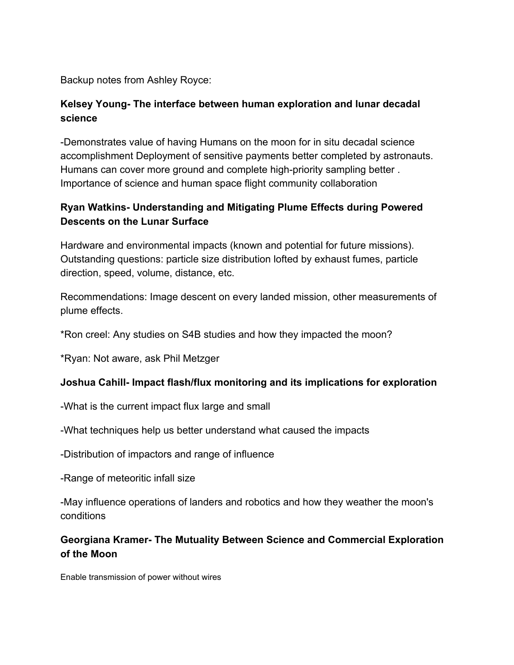Backup notes from Ashley Royce:

### **Kelsey Young- The interface between human exploration and lunar decadal science**

-Demonstrates value of having Humans on the moon for in situ decadal science accomplishment Deployment of sensitive payments better completed by astronauts. Humans can cover more ground and complete high-priority sampling better . Importance of science and human space flight community collaboration

### **Ryan Watkins- Understanding and Mitigating Plume Effects during Powered Descents on the Lunar Surface**

Hardware and environmental impacts (known and potential for future missions). Outstanding questions: particle size distribution lofted by exhaust fumes, particle direction, speed, volume, distance, etc.

Recommendations: Image descent on every landed mission, other measurements of plume effects.

\*Ron creel: Any studies on S4B studies and how they impacted the moon?

\*Ryan: Not aware, ask Phil Metzger

#### **Joshua Cahill- Impact flash/flux monitoring and its implications for exploration**

-What is the current impact flux large and small

-What techniques help us better understand what caused the impacts

-Distribution of impactors and range of influence

-Range of meteoritic infall size

-May influence operations of landers and robotics and how they weather the moon's conditions

### **Georgiana Kramer- The Mutuality Between Science and Commercial Exploration of the Moon**

Enable transmission of power without wires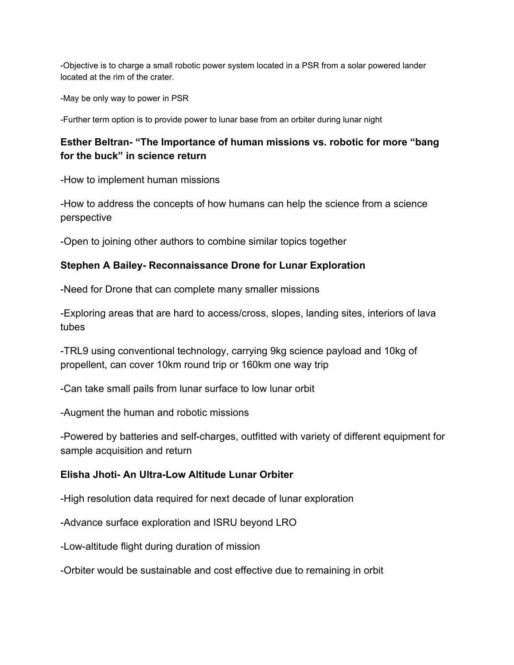-Objective is to charge a small robotic power system located in a PSR from a solar powered lander located at the rim of the crater.

-May be only way to power in PSR

-Further term option is to provide power to lunar base from an orbiter during lunar night

### **Esther Beltran- "The Importance of human missions vs. robotic for more "bang for the buck" in science return**

-How to implement human missions

-How to address the concepts of how humans can help the science from a science perspective

-Open to joining other authors to combine similar topics together

#### **Stephen A Bailey- Reconnaissance Drone for Lunar Exploration**

-Need for Drone that can complete many smaller missions

-Exploring areas that are hard to access/cross, slopes, landing sites, interiors of lava tubes

-TRL9 using conventional technology, carrying 9kg science payload and 10kg of propellent, can cover 10km round trip or 160km one way trip

-Can take small pails from lunar surface to low lunar orbit

-Augment the human and robotic missions

-Powered by batteries and self-charges, outfitted with variety of different equipment for sample acquisition and return

#### **Elisha Jhoti- An Ultra-Low Altitude Lunar Orbiter**

-High resolution data required for next decade of lunar exploration

-Advance surface exploration and ISRU beyond LRO

-Low-altitude flight during duration of mission

-Orbiter would be sustainable and cost effective due to remaining in orbit